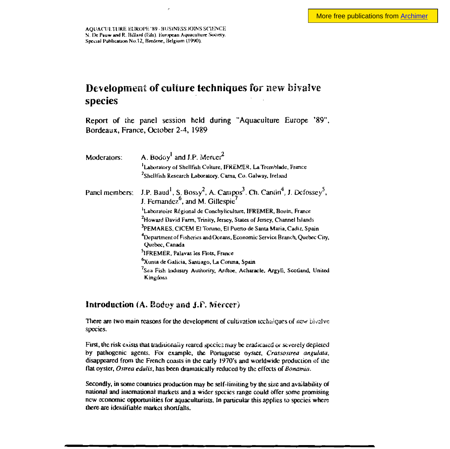AQUACULTURE EUROPE '89 - BUSINESS JOINS SCIENCE N. De Pauw and R. Billard (Eds). European Aquaculture Society. Special Publication No.12, Bredene, Belgium (1990).

# Development of culture techniques for new bivalve species

Report of the panel session held during "Aquaculture Europe '89", Bordeaux, France, October 2-4, 1989

| Moderators:    | A. Bodoy <sup>1</sup> and J.P. Mercer <sup>2</sup><br>Laboratory of Shellfish Culture, IFREMER, La Tremblade, France<br><sup>2</sup> Shellfish Research Laboratory, Carna, Co. Galway, Ireland |
|----------------|------------------------------------------------------------------------------------------------------------------------------------------------------------------------------------------------|
| Panel members: | J.P. Baud <sup>1</sup> , S. Bossy <sup>2</sup> , A. Campos <sup>3</sup> . Ch. Cantin <sup>4</sup> , J. Defossey <sup>5</sup> , J. Fernandez <sup>6</sup> , and M. Gillespie <sup>7</sup>       |
|                | Laboratoire Régional de Conchyliculture, IFREMER, Bouin, France                                                                                                                                |
|                | <sup>2</sup> Howard David Farm, Trinity, Jersey, States of Jersey, Channel Islands                                                                                                             |
|                | <sup>3</sup> PEMARES, CICEM El Toruno, El Puerto de Santa Maria, Cadiz, Spain                                                                                                                  |
|                | <sup>4</sup> Department of Fisheries and Oceans, Economic Service Branch, Quebec City,<br>Quebec, Canada                                                                                       |
|                | <sup>5</sup> IFREMER, Palavas les Flots, France                                                                                                                                                |
|                | <sup>6</sup> Xunta de Galicia, Santiago, La Coruna, Spain                                                                                                                                      |
|                | <sup>7</sup> Sca Fish Industry Authority, Ardtoe, Acharacle, Argyll, Scotiand, United<br>Kingdom                                                                                               |

### Introduction (A. Bodoy and J.F. Mercer)

There are two main reasons for the development of cultivation techniques of new bivalve species.

First, the risk exists that traditionally reared species may be eradicated or severely depleted by pathogenic agents. For example, the Portuguese oyster, Crassostrea angulata, disappeared from the French coasts in the early 1970's and worldwide production of the flat oyster, Ostrea edulis, has been dramatically reduced by the effects of Bonamia.

Secondly, in some countries production may be self-limiting by the size and availability of national and international markets and a wider species range could offer some promising new economic opportunities for aquaculturists. In particular this applies to species where there are identifiable market shortfalls.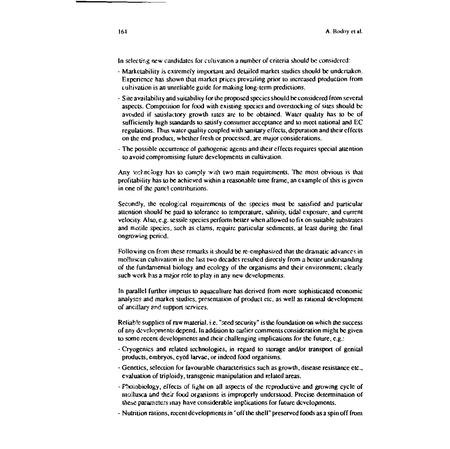In selecting new candidates for cultivation a number of criteria should be considered:

- Marketability is extremely important and detailed market studies should be undertaken. Experience has shown that market prices prevailing prior to increased production from cultivation is an unreliable guide for making long-term predictions.
- Site availability and suitability for the proposed species should be considered from several aspects. Competition for food with existing species and overstocking of sites should be avoided if satisfactory growth rates are to be obtained. Water quality has to be of sufficiently high standards to satisfy consumer acceptance and to meet national and EC regulations. Thus water quality coupled with sanitary effects, depuration and their effects on the end product, whether fresh or processed, are major considerations.
- The possible occurrence of pathogenic agents and their effects requires special attention to avoid compromising future developments in cultivation.

Any technology has to comply with two main requirements. The most obvious is that profitability has to be achieved within a reasonable time frame, an example of this is given in one of the panel contributions.

Secondly, the ecological requirements of the species must be satisfied and particular attention should be paid to tolerance to temperature, salinity, tidal exposure, and current velocity. Also, e.g. sessile species perform better when allowed to fix on suitable substrates and motile species, such as clams, require particular sediments, at least during the final ongrowing pericd.

Following on from these remarks it should be re-emphasized that the dramatic advances in molluscan cultivation in the last two decades resulted directly from a better understanding of the fundamental biology and ecology of the organisms and their environment; clearly such work has a major role to play in any new developments.

In parallel further impetus to aquaculture has derived from more sophisticated economic analyses and market studies, presentation of product etc. as well as rational development of ancillary and support services.

Reliable supplies of raw material, i.e. "seed security" is the foundation on which the success of any developments depend. In addition to earlier comments consideration might be given to some recent developments and their challenging implications for the future, e.g.:

- Cryogenics and related technologies, in regard to storage and/or transport of genital products, embryos, eyed larvae, or indeed food organisms.
- Genetics, selection for favourable characteristics such as growth, disease resistance etc., evaluation of triploidy, transgenic manipulation and related areas.
- Photobiology, effects of light on all aspects of the reproductive and growing cycle of mollusca and their food organisms is improperly understood. Precise determination of these parameters may have considerable implications for future developments.
- Nutrition rations, recent developments in "off the shell" preserved foods as a spin off from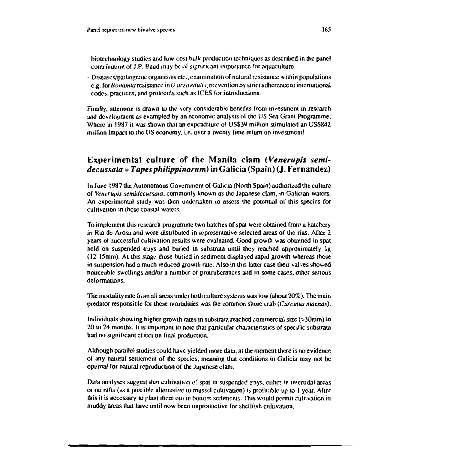biotechnology studies and low-cost bulk production techniques as described in the panel contribution of J.P. Baud may be of significant importance for aquaculture.

- Diseases/pathogenic organisms etc., examination of natural resistance within populations e.g. for Bonamia resistance in Ostrea edulis, prevention by strict adherence to international codes, practices, and protocols such as ICES for introductions.

Finally, attention is drawn to the very considerable benefits from investment in research and development as exampled by an economic analysis of the US Sea Grant Programme. Where in 1987 it was shown that an expenditure of US\$39 million stimulated an US\$842 million impact to the US economy, i.e. over a twenty time return on investment!

# Experimental culture of the Manila clam (Venerupis semi $decussata = Tapes \,philippinarum)$  in Galicia (Spain) (J. Fernandez)

In June 1987 the Autonomous Government of Galicia (North Spain) authorized the culture of Venerupis semidecussata, commonly known as the Japanese clam, in Galician waters. An experimental study was then undertaken to assess the potential of this species for cultivation in these coastal waters.

To implement this research programme two batches of spat were obtained from a hatchery in Ria de Arosa and were distributed in representative selected areas of the rias. After 2 years of successful cultivation results were evaluated. Good growth was obtained in spat held on suspended trays and buried in substrata until they reached approximately lg (12-15mm). At this stage those buried in sediment displayed rapid growth whereas those in suspension had a much reduced growth rate. Also in this latter case their valves showed noticeable swellings and/or a number of protruberances and in some cases, other serious deformations.

The mortality rate from all areas under both culture systems was low (about 20%). The main predator responsible for these mortalities was the common shore crab (Carcinus maenas).

Individuals showing higher growth rates in substrata reached commercial size (>30mm) in 20 to 24 months. It is important to note that particular characteristics of specific substrata had no significant effect on final production.

Although parallel studies could have yielded more data, at the mement there is no evidence of any natural settlement of the species, meaning that conditions in Galicia may not be optimal for natural reproduction of the Japanese clam.

Data analyses suggest that cultivation of spat in suspended trays, either in intertidal areas or on rafts (as a possible alternative to mussel cultivation) is profitable up to 1 year. After this it is necessary to plant them out in bottom sediments. This would permit cultivation in muddy areas that have until now been unproductive for shellfish cultivation.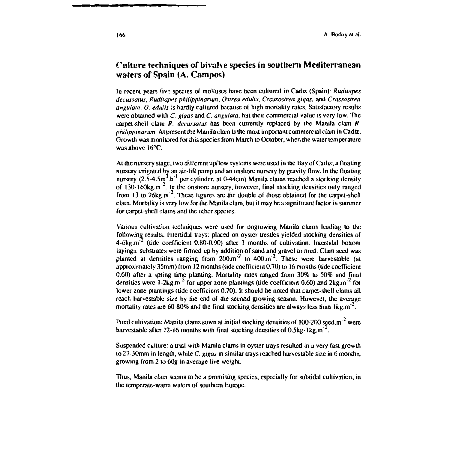### Culture techniques of bivalve species in southern Mediterranean waters of Spain (A. Campos)

In recent years five species of molluscs have been cultured in Cadiz (Spain): Ruditapes decussatus, Ruditapes philippinarum, Ostrea edulis, Crassostrea gigas, and Crassostrea angulata, O. edulis is hardly cultured because of high mortality rates. Satisfactory results were obtained with  $C$ , gigas and  $C$ , angulata, but their commercial value is very low. The carpet-shell clam  $R$ . decussatus has been currently replaced by the Manila clam  $R$ . *philippinarum.* At present the Manila clam is the most important commercial clam in Cadiz. Growth was monitored for this species from March to October, when the water temperature was above 16°C.

At the nursery stage, two different upflow systems were used in the Bay of Cadiz; a floating nursery irrigated by an air-lift pump and an onshore nursery by gravity flow. In the floating nursery  $(2.5-4.5m<sup>3</sup> h<sup>-1</sup>$  per cylinder, at 0-44cm) Manila clams reached a stocking density of 130-160 $\text{kg.m}^2$ . In the enshore nursery, however, final stocking densities only ranged from 13 to  $26$ kg.m<sup>-2</sup>. These figures are the double of those obtained for the carpet-shell clam. Mortality is very low for the Manila clam, but it may be a significant factor in summer for carpet-shell claims and the other species.

Various cultivation techniques were used for ongrowing Manila clams leading to the following results. Intertidal trays: placed on oyster trestles yielded stocking densities of  $4-6$ kg.m<sup>-2</sup> (tide coefficient 0.80-0.90) after 3 months of cultivation. Intertidal bottom layings: substrates were firmed up by addition of sand and gravel to mud. Clam seed was planted at densities ranging from  $200 \text{ m}^2$  to  $400 \text{ m}^2$ . These were harvestable (at approximately 35mm) from 12 months (tide coefficient 0.70) to 16 months (tide coefficient 0.60) after a spring time planting. Mortality rates ranged from 30% to 50% and final densities were 1-2kg.m<sup>-2</sup> for upper zone plantings (tide coefficient  $0.60$ ) and 2kg.m<sup>-2</sup> for lower zone plantings (tide coefficient 0.70). It should be noted that carpet-shell clams all reach harvestable size by the end of the second growing season. However, the average mortality rates are 60-80% and the final stocking densities are always less than  $1 \text{kg.m}^{-2}$ .

Pond cultivation: Manila clams sown at initial stocking densities of 100-200 seed.m<sup>-2</sup> were harvestable after 12-16 months with final stocking densities of  $0.5kg$ -lkg.m<sup>-2</sup>.

Suspended culture: a trial with Manila clams in ovster travs resulted in a very fast growth to  $27-30$  mm in length, while C, gigas in similar trays reached harvestable size in 6 months, growing from 2 to 60g in average live weight.

Thus, Manila clam seems to be a promising species, especially for subtidal cultivation, in the temperate-warm waters of southern Europe.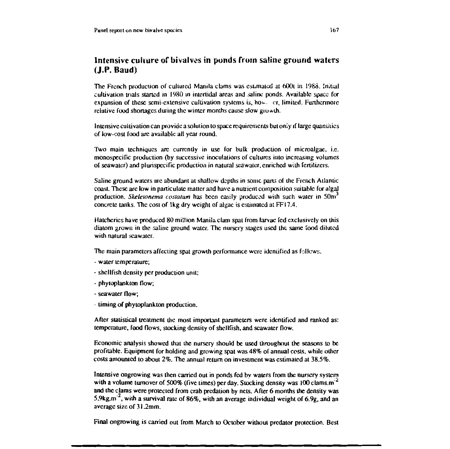## Intensive culture of bivalves in ponds from saline ground waters  $(J.P. Baud)$

The French production of cultured Manila clams was estimated at 600t in 1988. Initial cultivation trials started in 1980 in intertidal areas and saline ponds. Available space for expansion of these semi-extensive cultivation systems is, however, limited. Furthermore relative food shortages during the winter months cause slow growth.

Intensive cultivation can provide a solution to space requirements but only if large quantities of low-cost food are available all year round.

Two main techniques are currently in use for bulk production of microalgae, i.e. monospecific production (by successive inoculations of cultures into increasing volumes of seawater) and plurispecific production in natural seawater, enriched with fertilizers.

Saline ground waters are abundant at shallow depths in some parts of the French Atlantic coast. These are low in particulate matter and have a nutrient composition suitable for algal production. *Skeletonema costatum* has been easily produced with such water in 50m<sup>3</sup> concrete tanks. The cost of 1kg dry weight of algac is estimated at FF17.4.

Hatcheries have produced 80 million Manila clam spat from larvae fed exclusively on this diatom grown in the saline ground water. The nursery stages used the same food diluted with natural scawater.

The main parameters affecting spat growth performance were identified as follows.

- water temperature:
- shellfish density per production unit;
- phytoplankton flow;
- seawater flow:
- timing of phytoplankton production.

After statistical treatment the most important parameters were identified and ranked as: temperature, food flows, stocking density of shellfish, and seawater flow.

Economic analysis showed that the nursery should be used throughout the seasons to be profitable. Equipment for holding and growing spat was 48% of annual costs, while other costs amounted to about 2%. The annual return on investment was estimated at 38.5%.

Intensive ongrowing was then carried out in ponds fed by waters from the nursery system with a volume turnover of 500% (five times) per day. Stocking density was 100 clams.m<sup>-2</sup> and the clams were protected from crab predation by nets. After 6 months the density was 5.9kg.m<sup>-2</sup>, with a survival rate of 86%, with an average individual weight of 6.9g, and an average size of 31.2mm.

Final ongrowing is carried out from March to October without predator protection. Best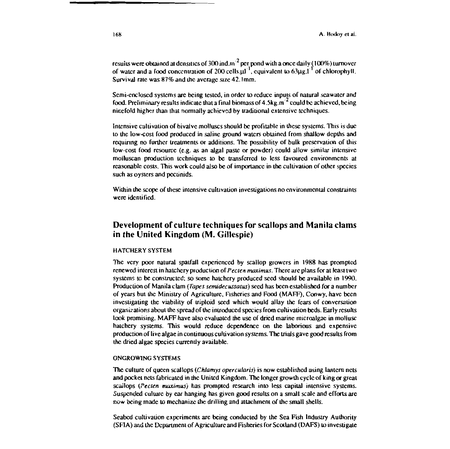results were obtained at densities of 300 ind.m<sup>-2</sup> per pond with a once daily (100%) turnover of water and a food concentration of 200 cells. $\mu t^{-1}$ , equivalent to 63 $\mu$ g.l<sup>-1</sup> of chlorophyll. Survival rate was 87% and the average size 42.1mm.

Semi-enclosed systems are being tested, in order to reduce inputs of natural seawater and food. Preliminary results indicate that a final biomass of  $4.5$ kg m<sup>-2</sup> could be achieved, being ninefold higher than that normally achieved by traditional extensive techniques.

Intensive cultivation of bivalve molluses should be profitable in these systems. This is due to the low-cost food produced in saline ground waters obtained from shallow depths and requiring no further treatments or additions. The possibility of bulk preservation of this low-cost food resource (e.g. as an algal paste or powder) could allow similar intensive molluscan production techniques to be transferred to less favoured environments at reasonable costs. This work could also be of importance in the cultivation of other species such as oysters and pectinids.

Within the scope of these intensive cultivation investigations no environmental constraints were identified.

### Development of culture techniques for scallops and Manila clams in the United Kingdom (M. Gillespie)

#### **HATCHERY SYSTEM**

The very poor natural spatfall experienced by scallop growers in 1988 has prompted renewed interest in hatchery production of *Pecten maximus*. There are plans for at least two systems to be constructed; so some hatchery produced seed should be available in 1990. Production of Manila clam (Tapes semidecussatus) seed has been established for a number of years but the Ministry of Agriculture, Fisheries and Food (MAFF), Conwy, have been investigating the viability of triploid seed which would allay the fears of conversation organizations about the spread of the introduced species from cultivation beds. Early results look promising. MAFF have also evaluated the use of dried marine microalgae in mollusc hatchery systems. This would reduce dependence on the laborious and expensive production of live algae in continuous cultivation systems. The trials gave good results from the dried algae species currently available.

#### **ONGROWING SYSTEMS**

The culture of queen scallops (Chlamys opercularis) is now established using lantern nets and pocket nets fabricated in the United Kingdom. The longer growth cycle of king or great scallops (Pecten maximus) has prompted research into less capital intensive systems. Suspended culture by ear hanging has given good results on a small scale and efforts are now being made to mechanize the drilling and attachment of the small shells.

Seabed cultivation experiments are being conducted by the Sea Fish Industry Authority (SFIA) and the Department of Agriculture and Fisheries for Scotland (DAFS) to investigate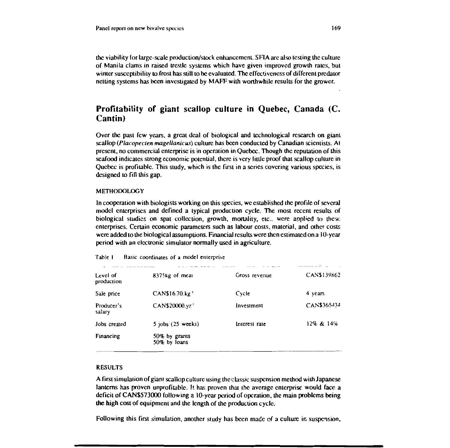the viability for large-scale production/stock enhancement. SFIA are also testing the culture of Manila clams in raised trestle systems which have given improved growth rates, but winter susceptibility to frost has still to be evaluated. The effectiveness of different predator netting systems has been investigated by MAFF with worthwhile results for the grower.

### Profitability of giant scallop culture in Quebec, Canada (C. Cantin)

Over the past few years, a great deal of biological and technological research on giant scallop (Placopecten magellanicus) culture has been conducted by Canadian scientists. At present, no commercial enterprise is in operation in Ouebec. Though the reputation of this scafood indicates strong economic potential, there is very little proof that scallop culture in Quebec is profitable. This study, which is the first in a series covering various species, is designed to fill this gap.

#### **METHODOLOGY**

In cooperation with biologists working on this species, we established the profile of several model enterprises and defined a typical production cycle. The most recent results of biological studies on spat collection, growth, mortality, etc., were applied to these enterprises. Certain economic parameters such as labour costs, material, and other costs were added to the biological assumptions. Financial results were then estimated on a 10-year period with an electronic simulator normally used in agriculture.

| Table I<br>Basic coordinates of a model enterprise |  |
|----------------------------------------------------|--|
|----------------------------------------------------|--|

| 8375 <sub>kg</sub> of meat    | Gross revenue | CAN\$139862 |
|-------------------------------|---------------|-------------|
| CAN\$16.70.kg <sup>1</sup>    | Cycle         | 4 years     |
| CAN\$20000.yr1                | Investment    | CAN\$365434 |
| $5$ jobs $(25$ weeks)         | Interest rate | 12% & 14%   |
| 50% by grants<br>50% by loans |               |             |
|                               |               |             |

#### **RESULTS**

A first simulation of giant scallop culture using the classic suspension method with Japanese lanterns has proven unprofitable. It has proven that the average enterprise would face a deficit of CAN\$573000 following a 10-year period of operation, the main problems being the high cost of equipment and the length of the production cycle.

Following this first simulation, another study has been made of a culture in suspension,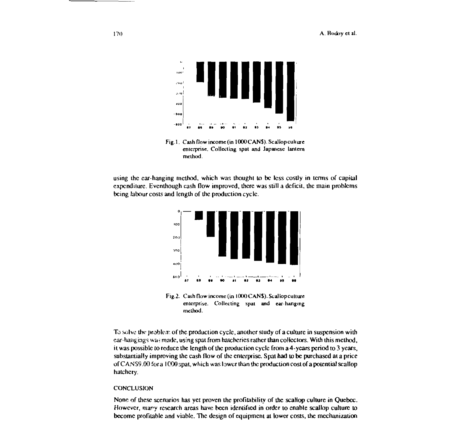

Fig.1. Cash flow income (in 1000 CANS). Scallop culture enterprise. Collecting spat and Japanese lantern method.

using the ear-hanging method, which was thought to be less costly in terms of capital expenditure. Eventhough cash flow improved, there was still a deficit, the main problems being labour costs and length of the production cycle.



Fig.2. Cash flow income (in 1000 CANS). Scallop culture enterprise. Collecting spat and ear-hanging method.

To solve the problem of the production cycle, another study of a culture in suspension with car-hangings was made, using spat from hatcheries rather than collectors. With this method, it was possible to reduce the length of the production cycle from a 4-years period to 3 years, substantially improving the cash flow of the enterprise. Spat had to be purchased at a price of CAN\$9.00 for a 1000 spat, which was lower than the production cost of a potential scallop hatchery.

#### **CONCLUSION**

None of these scenarios has yet proven the profitability of the scallop culture in Quebec. However, many research areas have been identified in order to enable scallop culture to become profitable and viable. The design of equipment at lower costs, the mechanization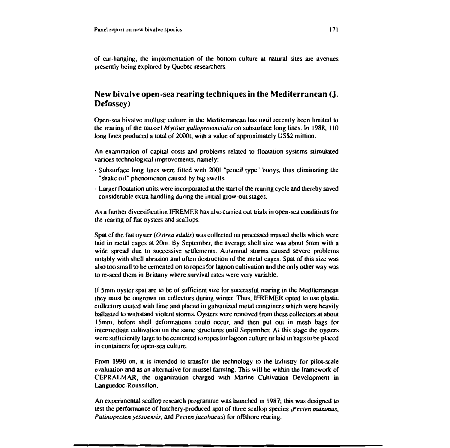of car-hanging, the implcmentation of the bouom culture al natural sites are avenues presently being explored by Quebec rescarchers.

# New bivalve open·sea rearing techniques in the Mediterranean (J. Defossey)

Opcn-sca bivalve mollusc culture in the Meditenanean has until recently bcen limited 10 the rearing of the mussel *Mytilus galloprovincialis* on subsurface long lines. In 1988, 110 long Iines produccd a total of 2000t, with a value of approximately US\$2 million.

An examination of capital costs and problems related to floatation systems stimulated various technological improvements, namely:

- Subsurface long Iines were fiucd with 2001 "pencil type" buoys, thus eliminating the "shake off' phenomenon caused by big swclls.
- Larger floatation units were incorporated at the start of the rearing cycle and thereby saved considerable extra handling during the initial grow-Qut stages.

As a further diversification IFREMER has also carried out trials in open-sea conditions for the rearing of flat oysters and scallops.

Spat of the flat oyster (Ostrea edulis) was collected on processed mussel shells which were laid in metal cages at 20m. By September, the average shell size was about 5mm with a wide spread due to successive settlements. Autumnal storms caused severe problems notably with shell abrasion and often destruction of the metal cages. Spat of this sire was also too small to be cementcd on to ropes for lagoon cultivation and the only other way was to re-secd them in Brittany where survival rates were very variable.

If 5mm oyster spat are 10 he of sufticient sire for successful rearing in the Mediterranean they must be ongrown on collectors during winter. Thus, IFREMER opted to use plastic collectors coatcd with lime and placed in galvanized metal containers which were hcavily ballasted 10 withstand violent storms. Oysters were removed from these collectors at about 15mm, before shell deformations could occur, and then put out in mesh bags for intermediate cultivation on the same structures until September. At this stage the oysters werc sufticiently large 10 be cementcd to ropes for lagoon culture or laid in bags to bc placcd in containers for open-sea culture.

From 1990 on, it is intended to transfer the technology to the industry for pilot-scale evaluation and as an alternative for mussel farming. This will be within the framework of CEPRALMAR, the organization charged with Marine Cultivation Development in Languedoc-Roussillon.

An experimental scallop research programme was launched in 1987; this was designed to test the performance of hatchery-produced spat of three scallop species (Pecten maximus, Patinopecten yessoensis, and Pecten jacobaeus) for offshore rearing.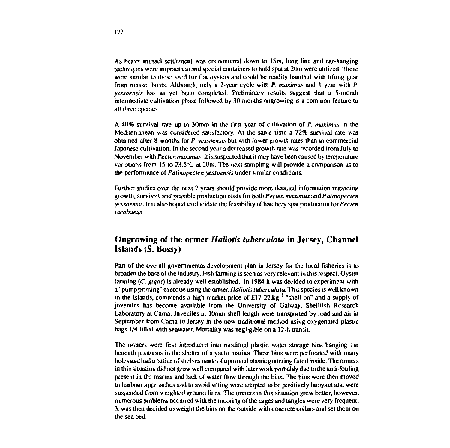As heavy mussel settlement was encountered down to 15m, long line and ear-hanging techniques were impractical and special containers to hold spat at 20m were utilized. These were similar to those used for flat ovsters and could be readily handled with lifting gear from mussel boats. Although, only a 2-year cycle with P. maximus and 1 year with P. vessoensis has as yet been completed. Preliminary results suggest that a 5-month intermediate cultivation phase followed by 30 months ongrowing is a common feature to all three species.

A 40% survival rate up to 30mm in the first year of cultivation of P. maximus in the Mediterranean was considered satisfactory. At the same time a 72% survival rate was obtained after 8 months for P, vessoensis but with lower growth rates than in commercial Japanese cultivation. In the second year a decreased growth rate was recorded from July to November with *Pecten maximus*. It is suspected that it may have been caused by temperature variations from 15 to 23.5°C at 20m. The next sampling will provide a comparison as to the performance of Patinopecten yessoensis under similar conditions.

Further studies over the next 2 years should provide more detailed information regarding growth, survival, and possible production costs for both *Pecten maximus* and *Patinopecten* yessoensis. It is also hoped to elucidate the feasibility of hatchery spat production for *Pecten* jacobaeus.

# Ongrowing of the ormer Haliotis tuberculata in Jersey, Channel Islands (S. Bossy)

Part of the overall governmental development plan in Jersey for the local fisheries is to broaden the base of the industry. Fish farming is seen as very relevant in this respect. Oyster farming  $(C, \text{glass})$  is already well established. In 1984 it was decided to experiment with a "pump priming" exercise using the ormer, Haliotis tuberculata. This species is well known in the Islands, commands a high market price of £17-22 kg<sup>-1</sup> "shell on" and a supply of juveniles has become available from the University of Galway, Shellfish Research Laboratory at Carna. Juveniles at 10mm shell length were transported by road and air in September from Cama to Jersey in the now traditional method using oxygenated plastic bags 1/4 filled with seawater. Mortality was negligible on a 12-h transit.

The ormers were first introduced into modified plastic water storage bins hanging 1m beneath pontoons in the shelter of a yacht marina. These bins were perforated with many holes and had a lattice of shelves made of upturned plastic guttering fitted inside. The ormers in this situation did not grow well compared with later work probably due to the anti-fouling present in the marina and lack of water flow through the bins. The bins were then moved to harbour approaches and to avoid silting were adapted to be positively buoyant and were suspended from weighted ground lines. The ormers in this situation grew better, however, numerous problems occurred with the mooring of the cages and tangles were very frequent. It was then decided to weight the bins on the outside with concrete collars and set them on the sea bed.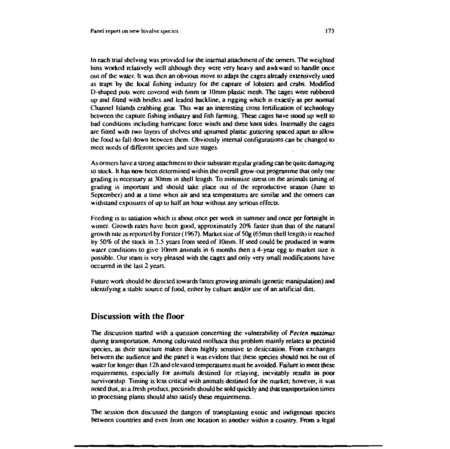In each trial shelving was provided for the internal attachment of the ormers. The weighted bins worked relatively well although they were very heavy and awkward to handle once out of the water, it was then an obvious move to adapt the cages already extensively used as traps by the local fishing industry for the capture of lobsters and crabs. Modified D-shaped pots were covered with 6mm or 10mm plastic mesh. The cages were rubbered up and fitted with bridles and leaded backline, a rigging which is exactly as per normal Channel Islands crabbing gear. This was an interesting cross fertilization of technology between the capture fishing industry and fish farming. These cages have stood up well to bad conditions including hurricane force winds and three knot tides. Internally the cages are fitted with two layers of shelves and upturned plastic guttering spaced apart to allow the food to fall down between them. Obviously internal configurations can be changed to meet needs of different species and size stages.

As ormers have a strong attachment to their substrate regular grading can be quite damaging to stock. It has now been determined within the overall grow-out programme that only one grading is necessary at 30mm in shell length. To minimize stress on the animals timing of grading is important and should take place out of the reproductive season (June to September) and at a time when air and sea temperatures are similar and the ormers can withstand exposures of up to half an hour without any serious effects.

Feeding is to satiation which is about once per week in summer and once per fortnight in winter. Growth rates have been good, approximately 20% faster than that of the natural growth rate as reported by Forster (1967). Market size of 50g (65mm shell length) is reached by 50% of the stock in 3.5 years from seed of 10mm. If seed could be produced in warm water conditions to give 10mm animals in 6 months then a 4-year egg to market size is possible. Our team is very pleased with the cages and only very small modifications have occurred in the last 2 years.

Future work should be directed towards faster growing animals (genetic manipulation) and identifying a stable source of food, either by culture and/or use of an artificial diet.

### Discussion with the floor

The discussion started with a question concerning the vulnerability of Pecten maximus during transportation. Among cultivated mollusca this problem mainly relates to pectinid species, as their structure makes them highly sensitive to desiccation. From exchanges between the audience and the panel it was evident that these species should not be out of water for longer than 12h and elevated temperatures must be avoided. Failure to meet these requirements, especially for animals destined for relaying, inevitably results in poor survivorship. Timing is less critical with animals destined for the market; however, it was noted that, as a fresh product, pectinids should be sold quickly and that transportation times to processing plants should also satisfy these requirements.

The session then discussed the dangers of transplanting exotic and indigenous species between countries and even from one location to another within a country. From a legal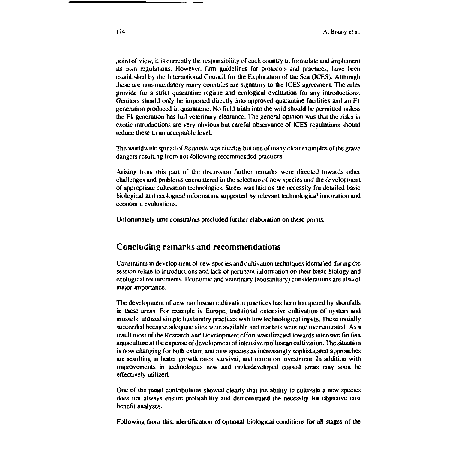point of view, it is currently the responsibility of each country to formulate and implement its own regulations. However, firm guidelines for protocols and practices, have been essablished by the International Council for the Exploration of the Sea (ICES). Although these are non-mandatory many countries are signatory to the ICES agreement. The rules provide for a strict quarantine regime and ecological evaluation for any introductions. Genitors should only be imported directly into approved quarantine facilities and an F1 generation produced in quarantine. No field trials into the wild should be permitted unless the F1 generation has full veterinary clearance. The general opinion was that the risks in exotic introductions are very obvious but careful observance of ICES regulations should reduce these to an acceptable level.

The worldwide spread of *Bonamia* was cited as but one of many clear examples of the grave dangers resulting from not following recommended practices.

Arising from this part of the discussion further remarks were directed towards other challenges and problems encountered in the selection of new species and the development of appropriate cultivation technologies. Stress was laid on the necessity for detailed basic biological and ecological information supported by relevant technological innovation and economic evaluations.

Unfortunately time constraints precluded further elaboration on these points.

### Concluding remarks and recommendations

Constraints in development of new species and cultivation techniques identified during the session relate to introductions and lack of pertinent information on their basic biology and ecological requirements. Economic and veterinary (zoosanitary) considerations are also of major importance.

The development of new molluscan cultivation practices has been hampered by shortfalls in these areas. For example in Europe, traditional extensive cultivation of oysters and mussels, utilized simple husbandry practices with low technological inputs. These initially succeeded because adequate sites were available and markets were not oversaturated. As a result most of the Research and Development effort was directed towards intensive fin fish aquaculture at the expense of development of intensive molluscan cultivation. The situation is now changing for both extant and new species as increasingly sophisticated approaches are resulting in better growth rates, survival, and return on investment. In addition with improvements in technologies new and underdeveloped coastal areas may soon be effectively utilized.

One of the panel contributions showed clearly that the ability to cultivate a new species does not always ensure profitability and demonstrated the necessity for objective cost benefit analyses.

Following from this, identification of optional biological conditions for all stages of the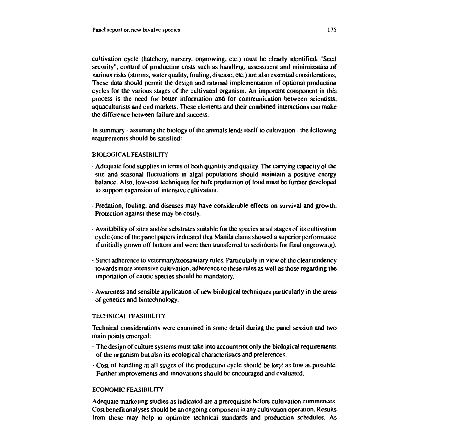cultivation cycle (hatchery, nursery, ongrowing, etc.) must be clearly identified. "Seed security", control of production costs such as handling, assessment and minimization of various risks (storms, water quality, fouling, disease, etc.) are also essential considerations. These data should permit the design and rational implementation of optional production cycles for the various stages of the cultivated organism. An important component in this process is the need for better information and for communication between scientists. aquaculturists and end markets. These elements and their combined interactions can make the difference between failure and success.

In summary - assuming the biology of the animals lends itself to cultivation - the following requirements should be satisfied:

#### **BIOLOGICAL FEASIBILITY**

- Adequate food supplies in terms of both quantity and quality. The carrying capacity of the site and seasonal fluctuations in algal populations should maintain a positive energy balance. Also, low-cost techniques for bulk production of food must be further developed to support expansion of intensive cultivation.
- Predation, fouling, and diseases may have considerable effects on survival and growth. Protection against these may be costly.
- Availability of sites and/or substrates suitable for the species at all stages of its cultivation cycle (one of the panel papers indicated that Manila clams showed a superior performance if initially grown off bottom and were then transferred to sediments for final ongrowing).
- Strict adherence to veterinary/zoosanitary rules. Particularly in view of the clear tendency towards more intensive cultivation, adherence to these rules as well as those regarding the importation of exotic species should be mandatory.
- Awareness and sensible application of new biological techniques particularly in the areas of genetics and biotechnology.

#### **TECHNICAL FEASIBILITY**

Technical considerations were examined in some detail during the panel session and two main points emerged:

- The design of culture systems must take into account not only the biological requirements of the organism but also its ecological characteristics and preferences.
- Cost of handling at all stages of the production cycle should be kept as low as possible. Further improvements and innovations should be encouraged and evaluated.

#### **ECONOMIC FEASIBILITY**

Adequate marketing studies as indicated are a prerequisite before cultivation commences. Cost benefit analyses should be an ongoing component in any cultivation operation. Results from these may help to optimize technical standards and production schedules. As